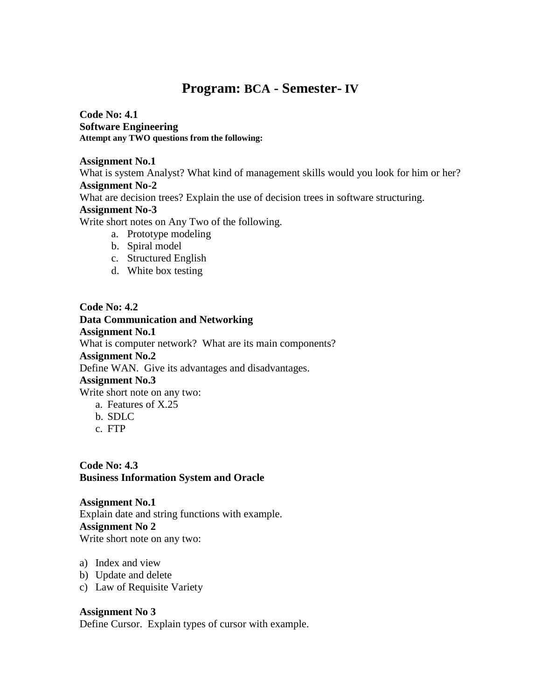# **Program: BCA - Semester- IV**

**Code No: 4.1 Software Engineering Attempt any TWO questions from the following:**

**Assignment No.1**

What is system Analyst? What kind of management skills would you look for him or her? **Assignment No-2** What are decision trees? Explain the use of decision trees in software structuring.

#### **Assignment No-3**

Write short notes on Any Two of the following.

- a. Prototype modeling
- b. Spiral model
- c. Structured English
- d. White box testing

**Code No: 4.2 Data Communication and Networking Assignment No.1** What is computer network? What are its main components? **Assignment No.2** Define WAN. Give its advantages and disadvantages. **Assignment No.3**  Write short note on any two: a. Features of X.25

- b. SDLC
- c. FTP

**Code No: 4.3 Business Information System and Oracle**

**Assignment No.1** Explain date and string functions with example. **Assignment No 2** Write short note on any two:

- a) Index and view
- b) Update and delete
- c) Law of Requisite Variety

## **Assignment No 3**

Define Cursor. Explain types of cursor with example.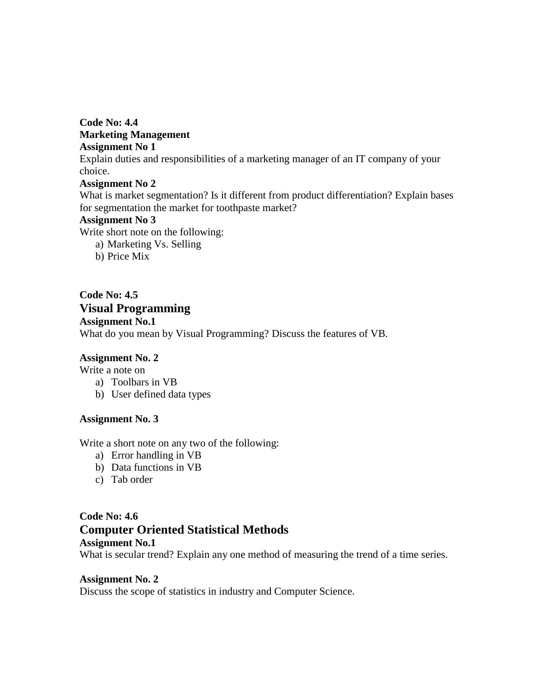**Code No: 4.4 Marketing Management Assignment No 1** Explain duties and responsibilities of a marketing manager of an IT company of your choice. **Assignment No 2**

What is market segmentation? Is it different from product differentiation? Explain bases for segmentation the market for toothpaste market?

#### **Assignment No 3**

Write short note on the following:

- a) Marketing Vs. Selling
- b) Price Mix

**Code No: 4.5 Visual Programming Assignment No.1** What do you mean by Visual Programming? Discuss the features of VB.

## **Assignment No. 2**

Write a note on

- a) Toolbars in VB
- b) User defined data types

#### **Assignment No. 3**

Write a short note on any two of the following:

- a) Error handling in VB
- b) Data functions in VB
- c) Tab order

# **Code No: 4.6 Computer Oriented Statistical Methods Assignment No.1**

What is secular trend? Explain any one method of measuring the trend of a time series.

## **Assignment No. 2**

Discuss the scope of statistics in industry and Computer Science.